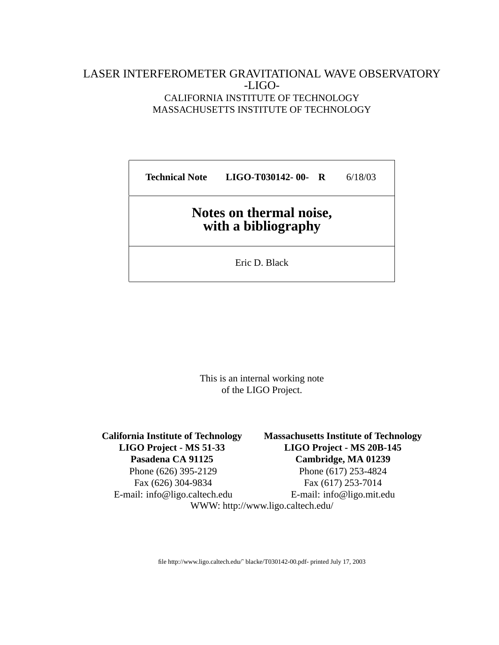### LASER INTERFEROMETER GRAVITATIONAL WAVE OBSERVATORY -LIGO-CALIFORNIA INSTITUTE OF TECHNOLOGY MASSACHUSETTS INSTITUTE OF TECHNOLOGY

**Technical Note LIGO-T030142- 00- R** 6/18/03

## **Notes on thermal noise, with a bibliography**

Eric D. Black

This is an internal working note of the LIGO Project.

Phone (626) 395-2129 Phone (617) 253-4824 Fax (626) 304-9834 Fax (617) 253-7014

**California Institute of Technology Massachusetts Institute of Technology LIGO Project - MS 51-33 LIGO Project - MS 20B-145 Pasadena CA 91125 Cambridge, MA 01239**

E-mail: info@ligo.caltech.edu E-mail: info@ligo.mit.edu

WWW: http://www.ligo.caltech.edu/

file http://www.ligo.caltech.edu/˜ blacke/T030142-00.pdf- printed July 17, 2003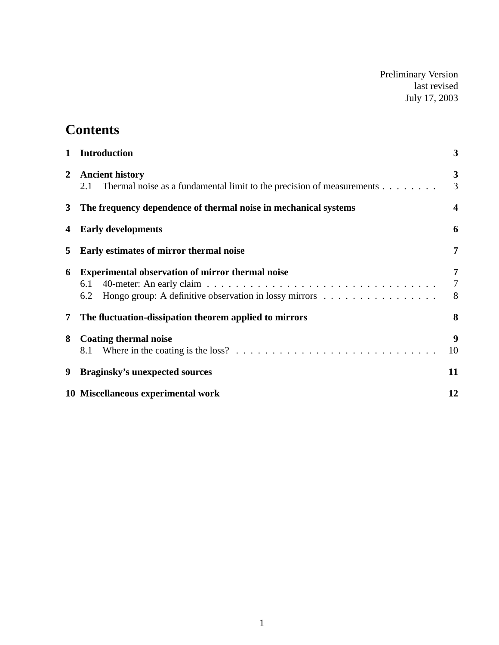Preliminary Version last revised July 17, 2003

# **Contents**

| $\mathbf{1}$   | <b>Introduction</b>                                                                                                             | 3                        |
|----------------|---------------------------------------------------------------------------------------------------------------------------------|--------------------------|
| $\overline{2}$ | <b>Ancient history</b><br>Thermal noise as a fundamental limit to the precision of measurements<br>2.1                          | $\mathbf{3}$<br>3        |
| $3^{\circ}$    | The frequency dependence of thermal noise in mechanical systems                                                                 | $\overline{\mathbf{4}}$  |
| 4              | <b>Early developments</b>                                                                                                       | 6                        |
| 5              | Early estimates of mirror thermal noise                                                                                         | 7                        |
| 6              | <b>Experimental observation of mirror thermal noise</b><br>6.1<br>Hongo group: A definitive observation in lossy mirrors<br>6.2 | 7<br>$\overline{7}$<br>8 |
| 7              | The fluctuation-dissipation theorem applied to mirrors                                                                          | 8                        |
| 8              | <b>Coating thermal noise</b><br>8.1                                                                                             | 9<br>10                  |
| 9              | <b>Braginsky's unexpected sources</b>                                                                                           | 11                       |
|                | 10 Miscellaneous experimental work                                                                                              | 12                       |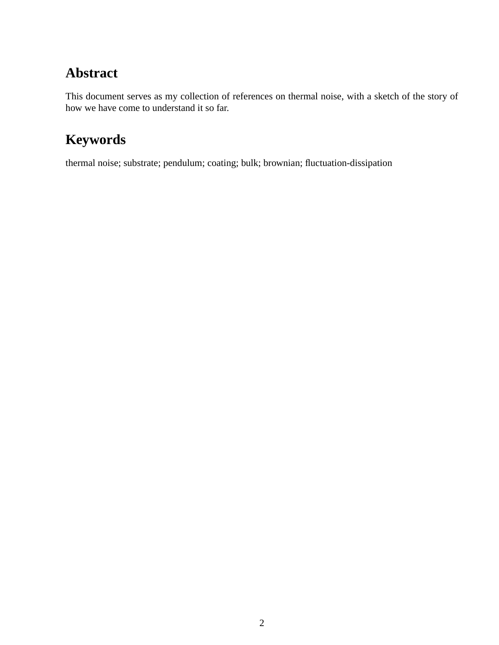# **Abstract**

This document serves as my collection of references on thermal noise, with a sketch of the story of how we have come to understand it so far.

# **Keywords**

thermal noise; substrate; pendulum; coating; bulk; brownian; fluctuation-dissipation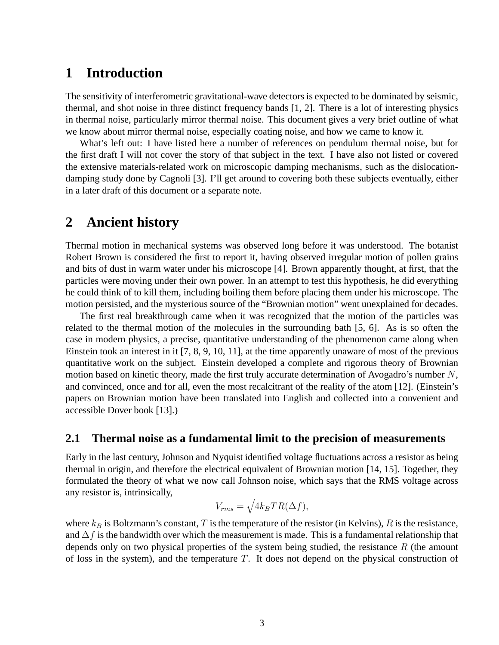## **1 Introduction**

The sensitivity of interferometric gravitational-wave detectors is expected to be dominated by seismic, thermal, and shot noise in three distinct frequency bands [1, 2]. There is a lot of interesting physics in thermal noise, particularly mirror thermal noise. This document gives a very brief outline of what we know about mirror thermal noise, especially coating noise, and how we came to know it.

What's left out: I have listed here a number of references on pendulum thermal noise, but for the first draft I will not cover the story of that subject in the text. I have also not listed or covered the extensive materials-related work on microscopic damping mechanisms, such as the dislocationdamping study done by Cagnoli [3]. I'll get around to covering both these subjects eventually, either in a later draft of this document or a separate note.

## **2 Ancient history**

Thermal motion in mechanical systems was observed long before it was understood. The botanist Robert Brown is considered the first to report it, having observed irregular motion of pollen grains and bits of dust in warm water under his microscope [4]. Brown apparently thought, at first, that the particles were moving under their own power. In an attempt to test this hypothesis, he did everything he could think of to kill them, including boiling them before placing them under his microscope. The motion persisted, and the mysterious source of the "Brownian motion" went unexplained for decades.

The first real breakthrough came when it was recognized that the motion of the particles was related to the thermal motion of the molecules in the surrounding bath [5, 6]. As is so often the case in modern physics, a precise, quantitative understanding of the phenomenon came along when Einstein took an interest in it [7, 8, 9, 10, 11], at the time apparently unaware of most of the previous quantitative work on the subject. Einstein developed a complete and rigorous theory of Brownian motion based on kinetic theory, made the first truly accurate determination of Avogadro's number N, and convinced, once and for all, even the most recalcitrant of the reality of the atom [12]. (Einstein's papers on Brownian motion have been translated into English and collected into a convenient and accessible Dover book [13].)

#### **2.1 Thermal noise as a fundamental limit to the precision of measurements**

Early in the last century, Johnson and Nyquist identified voltage fluctuations across a resistor as being thermal in origin, and therefore the electrical equivalent of Brownian motion [14, 15]. Together, they formulated the theory of what we now call Johnson noise, which says that the RMS voltage across any resistor is, intrinsically,

$$
V_{rms} = \sqrt{4k_BTR(\Delta f)},
$$

where  $k_B$  is Boltzmann's constant, T is the temperature of the resistor (in Kelvins), R is the resistance, and  $\Delta f$  is the bandwidth over which the measurement is made. This is a fundamental relationship that depends only on two physical properties of the system being studied, the resistance  $R$  (the amount of loss in the system), and the temperature  $T$ . It does not depend on the physical construction of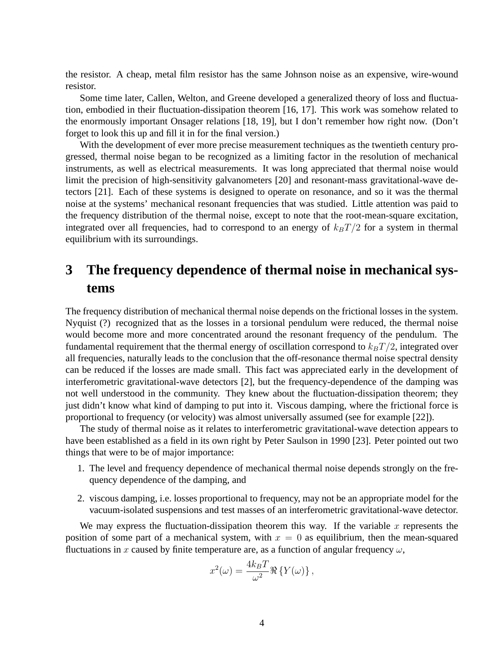the resistor. A cheap, metal film resistor has the same Johnson noise as an expensive, wire-wound resistor.

Some time later, Callen, Welton, and Greene developed a generalized theory of loss and fluctuation, embodied in their fluctuation-dissipation theorem [16, 17]. This work was somehow related to the enormously important Onsager relations [18, 19], but I don't remember how right now. (Don't forget to look this up and fill it in for the final version.)

With the development of ever more precise measurement techniques as the twentieth century progressed, thermal noise began to be recognized as a limiting factor in the resolution of mechanical instruments, as well as electrical measurements. It was long appreciated that thermal noise would limit the precision of high-sensitivity galvanometers [20] and resonant-mass gravitational-wave detectors [21]. Each of these systems is designed to operate on resonance, and so it was the thermal noise at the systems' mechanical resonant frequencies that was studied. Little attention was paid to the frequency distribution of the thermal noise, except to note that the root-mean-square excitation, integrated over all frequencies, had to correspond to an energy of  $k_BT/2$  for a system in thermal equilibrium with its surroundings.

## **3 The frequency dependence of thermal noise in mechanical systems**

The frequency distribution of mechanical thermal noise depends on the frictional losses in the system. Nyquist (?) recognized that as the losses in a torsional pendulum were reduced, the thermal noise would become more and more concentrated around the resonant frequency of the pendulum. The fundamental requirement that the thermal energy of oscillation correspond to  $k_BT/2$ , integrated over all frequencies, naturally leads to the conclusion that the off-resonance thermal noise spectral density can be reduced if the losses are made small. This fact was appreciated early in the development of interferometric gravitational-wave detectors [2], but the frequency-dependence of the damping was not well understood in the community. They knew about the fluctuation-dissipation theorem; they just didn't know what kind of damping to put into it. Viscous damping, where the frictional force is proportional to frequency (or velocity) was almost universally assumed (see for example [22]).

The study of thermal noise as it relates to interferometric gravitational-wave detection appears to have been established as a field in its own right by Peter Saulson in 1990 [23]. Peter pointed out two things that were to be of major importance:

- 1. The level and frequency dependence of mechanical thermal noise depends strongly on the frequency dependence of the damping, and
- 2. viscous damping, i.e. losses proportional to frequency, may not be an appropriate model for the vacuum-isolated suspensions and test masses of an interferometric gravitational-wave detector.

We may express the fluctuation-dissipation theorem this way. If the variable x represents the position of some part of a mechanical system, with  $x = 0$  as equilibrium, then the mean-squared fluctuations in x caused by finite temperature are, as a function of angular frequency  $\omega$ ,

$$
x^{2}(\omega) = \frac{4k_{B}T}{\omega^{2}} \Re \left\{ Y(\omega) \right\},\,
$$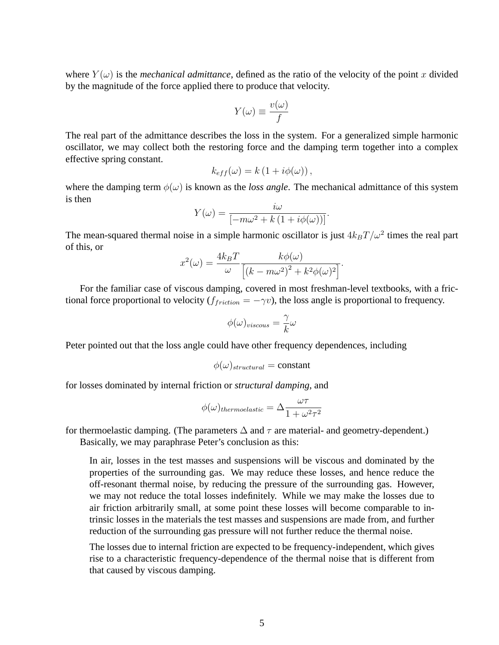where  $Y(\omega)$  is the *mechanical admittance*, defined as the ratio of the velocity of the point x divided by the magnitude of the force applied there to produce that velocity.

$$
Y(\omega) \equiv \frac{v(\omega)}{f}
$$

The real part of the admittance describes the loss in the system. For a generalized simple harmonic oscillator, we may collect both the restoring force and the damping term together into a complex effective spring constant.

$$
k_{eff}(\omega) = k \left( 1 + i \phi(\omega) \right),
$$

where the damping term  $\phi(\omega)$  is known as the *loss angle*. The mechanical admittance of this system is then

$$
Y(\omega) = \frac{i\omega}{\left[-m\omega^2 + k\left(1 + i\phi(\omega)\right)\right]}.
$$

The mean-squared thermal noise in a simple harmonic oscillator is just  $4k_BT/\omega^2$  times the real part of this, or

$$
x^{2}(\omega) = \frac{4k_{B}T}{\omega} \frac{k\phi(\omega)}{\left[(k - m\omega^{2})^{2} + k^{2}\phi(\omega)^{2}\right]}.
$$

For the familiar case of viscous damping, covered in most freshman-level textbooks, with a frictional force proportional to velocity ( $f_{friction} = -\gamma v$ ), the loss angle is proportional to frequency.

$$
\phi(\omega)_{viscous} = \frac{\gamma}{k}\omega
$$

Peter pointed out that the loss angle could have other frequency dependences, including

$$
\phi(\omega)_{structural} = constant
$$

for losses dominated by internal friction or *structural damping*, and

$$
\phi(\omega)_{thermodastic} = \Delta \frac{\omega \tau}{1 + \omega^2 \tau^2}
$$

for thermoelastic damping. (The parameters  $\Delta$  and  $\tau$  are material- and geometry-dependent.) Basically, we may paraphrase Peter's conclusion as this:

In air, losses in the test masses and suspensions will be viscous and dominated by the properties of the surrounding gas. We may reduce these losses, and hence reduce the off-resonant thermal noise, by reducing the pressure of the surrounding gas. However, we may not reduce the total losses indefinitely. While we may make the losses due to air friction arbitrarily small, at some point these losses will become comparable to intrinsic losses in the materials the test masses and suspensions are made from, and further reduction of the surrounding gas pressure will not further reduce the thermal noise.

The losses due to internal friction are expected to be frequency-independent, which gives rise to a characteristic frequency-dependence of the thermal noise that is different from that caused by viscous damping.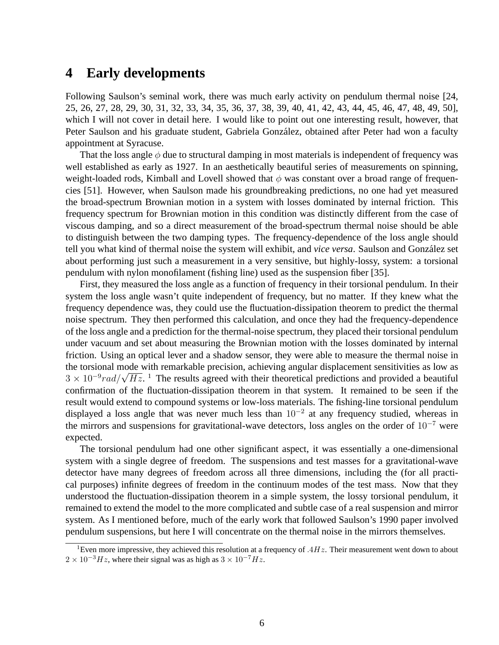## **4 Early developments**

Following Saulson's seminal work, there was much early activity on pendulum thermal noise [24, 25, 26, 27, 28, 29, 30, 31, 32, 33, 34, 35, 36, 37, 38, 39, 40, 41, 42, 43, 44, 45, 46, 47, 48, 49, 50], which I will not cover in detail here. I would like to point out one interesting result, however, that Peter Saulson and his graduate student, Gabriela González, obtained after Peter had won a faculty appointment at Syracuse.

That the loss angle  $\phi$  due to structural damping in most materials is independent of frequency was well established as early as 1927. In an aesthetically beautiful series of measurements on spinning, weight-loaded rods, Kimball and Lovell showed that  $\phi$  was constant over a broad range of frequencies [51]. However, when Saulson made his groundbreaking predictions, no one had yet measured the broad-spectrum Brownian motion in a system with losses dominated by internal friction. This frequency spectrum for Brownian motion in this condition was distinctly different from the case of viscous damping, and so a direct measurement of the broad-spectrum thermal noise should be able to distinguish between the two damping types. The frequency-dependence of the loss angle should tell you what kind of thermal noise the system will exhibit, and *vice versa*. Saulson and Gonzalez set ´ about performing just such a measurement in a very sensitive, but highly-lossy, system: a torsional pendulum with nylon monofilament (fishing line) used as the suspension fiber [35].

First, they measured the loss angle as a function of frequency in their torsional pendulum. In their system the loss angle wasn't quite independent of frequency, but no matter. If they knew what the frequency dependence was, they could use the fluctuation-dissipation theorem to predict the thermal noise spectrum. They then performed this calculation, and once they had the frequency-dependence of the loss angle and a prediction for the thermal-noise spectrum, they placed their torsional pendulum under vacuum and set about measuring the Brownian motion with the losses dominated by internal friction. Using an optical lever and a shadow sensor, they were able to measure the thermal noise in the torsional mode with remarkable precision, achieving angular displacement sensitivities as low as the torsional mode with remarkable precision, achieving angular displacement sensitivities as low as  $3 \times 10^{-9} rad / \sqrt{Hz}$ . <sup>1</sup> The results agreed with their theoretical predictions and provided a beautiful confirmation of the fluctuation-dissipation theorem in that system. It remained to be seen if the result would extend to compound systems or low-loss materials. The fishing-line torsional pendulum displayed a loss angle that was never much less than  $10^{-2}$  at any frequency studied, whereas in the mirrors and suspensions for gravitational-wave detectors, loss angles on the order of  $10^{-7}$  were expected.

The torsional pendulum had one other significant aspect, it was essentially a one-dimensional system with a single degree of freedom. The suspensions and test masses for a gravitational-wave detector have many degrees of freedom across all three dimensions, including the (for all practical purposes) infinite degrees of freedom in the continuum modes of the test mass. Now that they understood the fluctuation-dissipation theorem in a simple system, the lossy torsional pendulum, it remained to extend the model to the more complicated and subtle case of a real suspension and mirror system. As I mentioned before, much of the early work that followed Saulson's 1990 paper involved pendulum suspensions, but here I will concentrate on the thermal noise in the mirrors themselves.

<sup>&</sup>lt;sup>1</sup>Even more impressive, they achieved this resolution at a frequency of  $.4Hz$ . Their measurement went down to about  $2 \times 10^{-3}$  Hz, where their signal was as high as  $3 \times 10^{-7}$  Hz.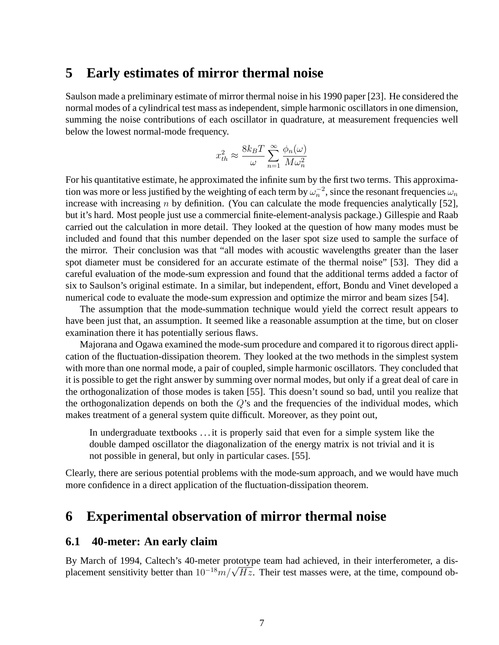### **5 Early estimates of mirror thermal noise**

Saulson made a preliminary estimate of mirror thermal noise in his 1990 paper [23]. He considered the normal modes of a cylindrical test mass as independent, simple harmonic oscillators in one dimension, summing the noise contributions of each oscillator in quadrature, at measurement frequencies well below the lowest normal-mode frequency.

$$
x_{th}^2 \approx \frac{8k_B T}{\omega} \sum_{n=1}^{\infty} \frac{\phi_n(\omega)}{M \omega_n^2}
$$

For his quantitative estimate, he approximated the infinite sum by the first two terms. This approximation was more or less justified by the weighting of each term by  $\omega_n^{-2}$ , since the resonant frequencies  $\omega_n$ increase with increasing  $n$  by definition. (You can calculate the mode frequencies analytically [52], but it's hard. Most people just use a commercial finite-element-analysis package.) Gillespie and Raab carried out the calculation in more detail. They looked at the question of how many modes must be included and found that this number depended on the laser spot size used to sample the surface of the mirror. Their conclusion was that "all modes with acoustic wavelengths greater than the laser spot diameter must be considered for an accurate estimate of the thermal noise" [53]. They did a careful evaluation of the mode-sum expression and found that the additional terms added a factor of six to Saulson's original estimate. In a similar, but independent, effort, Bondu and Vinet developed a numerical code to evaluate the mode-sum expression and optimize the mirror and beam sizes [54].

The assumption that the mode-summation technique would yield the correct result appears to have been just that, an assumption. It seemed like a reasonable assumption at the time, but on closer examination there it has potentially serious flaws.

Majorana and Ogawa examined the mode-sum procedure and compared it to rigorous direct application of the fluctuation-dissipation theorem. They looked at the two methods in the simplest system with more than one normal mode, a pair of coupled, simple harmonic oscillators. They concluded that it is possible to get the right answer by summing over normal modes, but only if a great deal of care in the orthogonalization of those modes is taken [55]. This doesn't sound so bad, until you realize that the orthogonalization depends on both the  $Q$ 's and the frequencies of the individual modes, which makes treatment of a general system quite difficult. Moreover, as they point out,

In undergraduate textbooks . . . it is properly said that even for a simple system like the double damped oscillator the diagonalization of the energy matrix is not trivial and it is not possible in general, but only in particular cases. [55].

Clearly, there are serious potential problems with the mode-sum approach, and we would have much more confidence in a direct application of the fluctuation-dissipation theorem.

## **6 Experimental observation of mirror thermal noise**

#### **6.1 40-meter: An early claim**

By March of 1994, Caltech's 40-meter prototype team had achieved, in their interferometer, a dis-By March of 1994, Caltech's 40-meter prototype team had achieved, in their interferometer, a dis-<br>placement sensitivity better than  $10^{-18}m/\sqrt{Hz}$ . Their test masses were, at the time, compound ob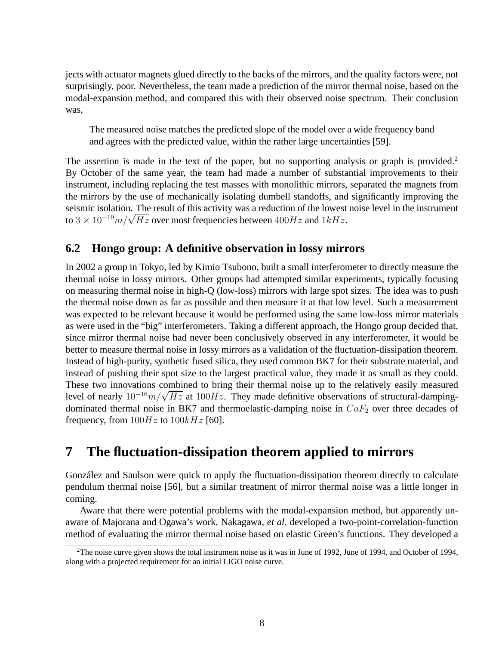jects with actuator magnets glued directly to the backs of the mirrors, and the quality factors were, not surprisingly, poor. Nevertheless, the team made a prediction of the mirror thermal noise, based on the modal-expansion method, and compared this with their observed noise spectrum. Their conclusion was,

The measured noise matches the predicted slope of the model over a wide frequency band and agrees with the predicted value, within the rather large uncertainties [59].

The assertion is made in the text of the paper, but no supporting analysis or graph is provided.<sup>2</sup> By October of the same year, the team had made a number of substantial improvements to their instrument, including replacing the test masses with monolithic mirrors, separated the magnets from the mirrors by the use of mechanically isolating dumbell standoffs, and significantly improving the seismic isolation. The result of this activity was a reduction of the lowest noise level in the instrument seismic isolation. The result of this activity was a reduction of the lowest<br>to  $3 \times 10^{-19} m/\sqrt{Hz}$  over most frequencies between  $400 Hz$  and  $1 kHz$ .

### **6.2 Hongo group: A definitive observation in lossy mirrors**

In 2002 a group in Tokyo, led by Kimio Tsubono, built a small interferometer to directly measure the thermal noise in lossy mirrors. Other groups had attempted similar experiments, typically focusing on measuring thermal noise in high-Q (low-loss) mirrors with large spot sizes. The idea was to push the thermal noise down as far as possible and then measure it at that low level. Such a measurement was expected to be relevant because it would be performed using the same low-loss mirror materials as were used in the "big" interferometers. Taking a different approach, the Hongo group decided that, since mirror thermal noise had never been conclusively observed in any interferometer, it would be better to measure thermal noise in lossy mirrors as a validation of the fluctuation-dissipation theorem. Instead of high-purity, synthetic fused silica, they used common BK7 for their substrate material, and instead of pushing their spot size to the largest practical value, they made it as small as they could. These two innovations combined to bring their thermal noise up to the relatively easily measured These two innovations combined to bring their thermal noise up to the relatively easily measured<br>level of nearly  $10^{-16}m/\sqrt{Hz}$  at  $100Hz$ . They made definitive observations of structural-dampingdominated thermal noise in BK7 and thermoelastic-damping noise in  $CaF<sub>2</sub>$  over three decades of frequency, from  $100Hz$  to  $100kHz$  [60].

## **7 The fluctuation-dissipation theorem applied to mirrors**

Gonzalez and Saulson were quick to apply the fluctuation-dissipation theorem directly to calculate ´ pendulum thermal noise [56], but a similar treatment of mirror thermal noise was a little longer in coming.

Aware that there were potential problems with the modal-expansion method, but apparently unaware of Majorana and Ogawa's work, Nakagawa, *et al.* developed a two-point-correlation-function method of evaluating the mirror thermal noise based on elastic Green's functions. They developed a

<sup>&</sup>lt;sup>2</sup>The noise curve given shows the total instrument noise as it was in June of 1992, June of 1994, and October of 1994, along with a projected requirement for an initial LIGO noise curve.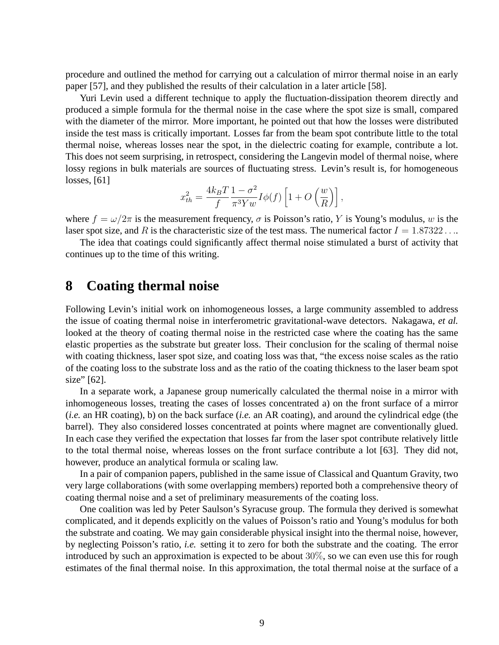procedure and outlined the method for carrying out a calculation of mirror thermal noise in an early paper [57], and they published the results of their calculation in a later article [58].

Yuri Levin used a different technique to apply the fluctuation-dissipation theorem directly and produced a simple formula for the thermal noise in the case where the spot size is small, compared with the diameter of the mirror. More important, he pointed out that how the losses were distributed inside the test mass is critically important. Losses far from the beam spot contribute little to the total thermal noise, whereas losses near the spot, in the dielectric coating for example, contribute a lot. This does not seem surprising, in retrospect, considering the Langevin model of thermal noise, where lossy regions in bulk materials are sources of fluctuating stress. Levin's result is, for homogeneous losses, [61]

$$
x_{th}^2 = \frac{4k_BT}{f} \frac{1-\sigma^2}{\pi^3 Y w} I\phi(f) \left[ 1 + O\left(\frac{w}{R}\right) \right],
$$

where  $f = \omega/2\pi$  is the measurement frequency,  $\sigma$  is Poisson's ratio, Y is Young's modulus, w is the laser spot size, and R is the characteristic size of the test mass. The numerical factor  $I = 1.87322...$ 

The idea that coatings could significantly affect thermal noise stimulated a burst of activity that continues up to the time of this writing.

### **8 Coating thermal noise**

Following Levin's initial work on inhomogeneous losses, a large community assembled to address the issue of coating thermal noise in interferometric gravitational-wave detectors. Nakagawa, *et al.* looked at the theory of coating thermal noise in the restricted case where the coating has the same elastic properties as the substrate but greater loss. Their conclusion for the scaling of thermal noise with coating thickness, laser spot size, and coating loss was that, "the excess noise scales as the ratio of the coating loss to the substrate loss and as the ratio of the coating thickness to the laser beam spot size" [62].

In a separate work, a Japanese group numerically calculated the thermal noise in a mirror with inhomogeneous losses, treating the cases of losses concentrated a) on the front surface of a mirror (*i.e.* an HR coating), b) on the back surface (*i.e.* an AR coating), and around the cylindrical edge (the barrel). They also considered losses concentrated at points where magnet are conventionally glued. In each case they verified the expectation that losses far from the laser spot contribute relatively little to the total thermal noise, whereas losses on the front surface contribute a lot [63]. They did not, however, produce an analytical formula or scaling law.

In a pair of companion papers, published in the same issue of Classical and Quantum Gravity, two very large collaborations (with some overlapping members) reported both a comprehensive theory of coating thermal noise and a set of preliminary measurements of the coating loss.

One coalition was led by Peter Saulson's Syracuse group. The formula they derived is somewhat complicated, and it depends explicitly on the values of Poisson's ratio and Young's modulus for both the substrate and coating. We may gain considerable physical insight into the thermal noise, however, by neglecting Poisson's ratio, *i.e.* setting it to zero for both the substrate and the coating. The error introduced by such an approximation is expected to be about 30%, so we can even use this for rough estimates of the final thermal noise. In this approximation, the total thermal noise at the surface of a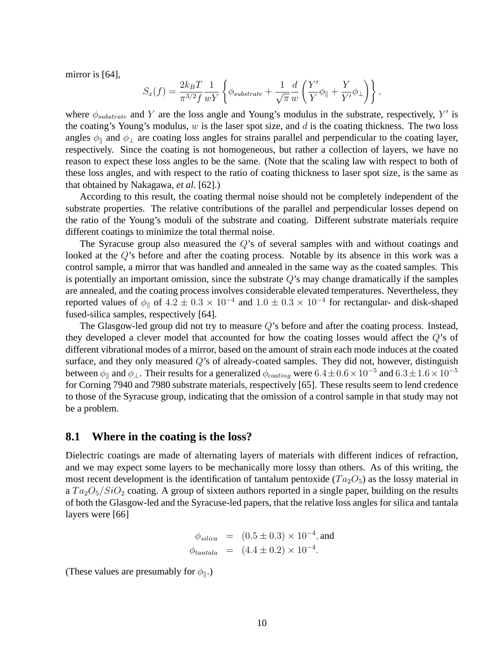mirror is [64],

$$
S_x(f) = \frac{2k_B T}{\pi^{3/2} f} \frac{1}{wY} \left\{ \phi_{substrate} + \frac{1}{\sqrt{\pi}} \frac{d}{w} \left( \frac{Y'}{Y} \phi_{\parallel} + \frac{Y}{Y'} \phi_{\perp} \right) \right\},\,
$$

where  $\phi_{substrate}$  and Y are the loss angle and Young's modulus in the substrate, respectively, Y' is the coating's Young's modulus,  $w$  is the laser spot size, and  $d$  is the coating thickness. The two loss angles  $\phi_{\parallel}$  and  $\phi_{\perp}$  are coating loss angles for strains parallel and perpendicular to the coating layer, respectively. Since the coating is not homogeneous, but rather a collection of layers, we have no reason to expect these loss angles to be the same. (Note that the scaling law with respect to both of these loss angles, and with respect to the ratio of coating thickness to laser spot size, is the same as that obtained by Nakagawa, *et al.* [62].)

According to this result, the coating thermal noise should not be completely independent of the substrate properties. The relative contributions of the parallel and perpendicular losses depend on the ratio of the Young's moduli of the substrate and coating. Different substrate materials require different coatings to minimize the total thermal noise.

The Syracuse group also measured the Q's of several samples with and without coatings and looked at the Q's before and after the coating process. Notable by its absence in this work was a control sample, a mirror that was handled and annealed in the same way as the coated samples. This is potentially an important omission, since the substrate  $Q$ 's may change dramatically if the samples are annealed, and the coating process involves considerable elevated temperatures. Nevertheless, they reported values of  $\phi_{\parallel}$  of  $4.2 \pm 0.3 \times 10^{-4}$  and  $1.0 \pm 0.3 \times 10^{-4}$  for rectangular- and disk-shaped fused-silica samples, respectively [64].

The Glasgow-led group did not try to measure  $Q$ 's before and after the coating process. Instead, they developed a clever model that accounted for how the coating losses would affect the Q's of different vibrational modes of a mirror, based on the amount of strain each mode induces at the coated surface, and they only measured  $Q$ 's of already-coated samples. They did not, however, distinguish between  $\phi_{\parallel}$  and  $\phi_{\perp}$ . Their results for a generalized  $\phi_{coating}$  were  $6.4\pm0.6\times10^{-5}$  and  $6.3\pm1.6\times10^{-5}$ for Corning 7940 and 7980 substrate materials, respectively [65]. These results seem to lend credence to those of the Syracuse group, indicating that the omission of a control sample in that study may not be a problem.

#### **8.1 Where in the coating is the loss?**

Dielectric coatings are made of alternating layers of materials with different indices of refraction, and we may expect some layers to be mechanically more lossy than others. As of this writing, the most recent development is the identification of tantalum pentoxide ( $Ta_2O_5$ ) as the lossy material in a  $Ta_2O_5/SiO_2$  coating. A group of sixteen authors reported in a single paper, building on the results of both the Glasgow-led and the Syracuse-led papers, that the relative loss angles for silica and tantala layers were [66]

$$
\phi_{silica} = (0.5 \pm 0.3) \times 10^{-4}
$$
, and  
\n $\phi_{tantala} = (4.4 \pm 0.2) \times 10^{-4}$ .

(These values are presumably for  $\phi_{\parallel}$ .)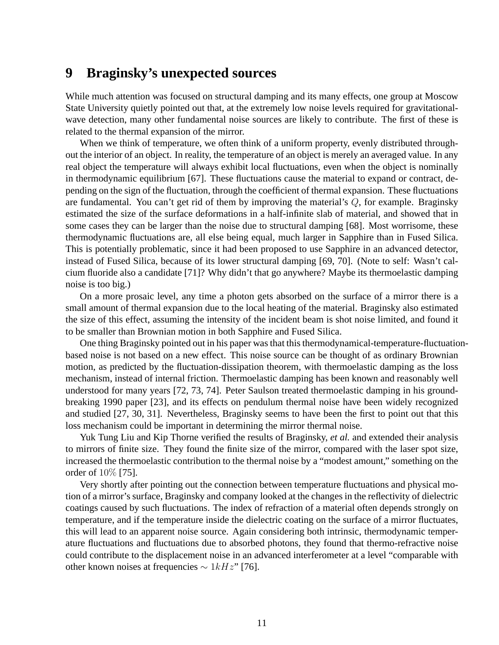### **9 Braginsky's unexpected sources**

While much attention was focused on structural damping and its many effects, one group at Moscow State University quietly pointed out that, at the extremely low noise levels required for gravitationalwave detection, many other fundamental noise sources are likely to contribute. The first of these is related to the thermal expansion of the mirror.

When we think of temperature, we often think of a uniform property, evenly distributed throughout the interior of an object. In reality, the temperature of an object is merely an averaged value. In any real object the temperature will always exhibit local fluctuations, even when the object is nominally in thermodynamic equilibrium [67]. These fluctuations cause the material to expand or contract, depending on the sign of the fluctuation, through the coefficient of thermal expansion. These fluctuations are fundamental. You can't get rid of them by improving the material's  $Q$ , for example. Braginsky estimated the size of the surface deformations in a half-infinite slab of material, and showed that in some cases they can be larger than the noise due to structural damping [68]. Most worrisome, these thermodynamic fluctuations are, all else being equal, much larger in Sapphire than in Fused Silica. This is potentially problematic, since it had been proposed to use Sapphire in an advanced detector, instead of Fused Silica, because of its lower structural damping [69, 70]. (Note to self: Wasn't calcium fluoride also a candidate [71]? Why didn't that go anywhere? Maybe its thermoelastic damping noise is too big.)

On a more prosaic level, any time a photon gets absorbed on the surface of a mirror there is a small amount of thermal expansion due to the local heating of the material. Braginsky also estimated the size of this effect, assuming the intensity of the incident beam is shot noise limited, and found it to be smaller than Brownian motion in both Sapphire and Fused Silica.

One thing Braginsky pointed out in his paper was that this thermodynamical-temperature-fluctuationbased noise is not based on a new effect. This noise source can be thought of as ordinary Brownian motion, as predicted by the fluctuation-dissipation theorem, with thermoelastic damping as the loss mechanism, instead of internal friction. Thermoelastic damping has been known and reasonably well understood for many years [72, 73, 74]. Peter Saulson treated thermoelastic damping in his groundbreaking 1990 paper [23], and its effects on pendulum thermal noise have been widely recognized and studied [27, 30, 31]. Nevertheless, Braginsky seems to have been the first to point out that this loss mechanism could be important in determining the mirror thermal noise.

Yuk Tung Liu and Kip Thorne verified the results of Braginsky, *et al.* and extended their analysis to mirrors of finite size. They found the finite size of the mirror, compared with the laser spot size, increased the thermoelastic contribution to the thermal noise by a "modest amount," something on the order of 10% [75].

Very shortly after pointing out the connection between temperature fluctuations and physical motion of a mirror's surface, Braginsky and company looked at the changes in the reflectivity of dielectric coatings caused by such fluctuations. The index of refraction of a material often depends strongly on temperature, and if the temperature inside the dielectric coating on the surface of a mirror fluctuates, this will lead to an apparent noise source. Again considering both intrinsic, thermodynamic temperature fluctuations and fluctuations due to absorbed photons, they found that thermo-refractive noise could contribute to the displacement noise in an advanced interferometer at a level "comparable with other known noises at frequencies  $\sim 1 kHz$ " [76].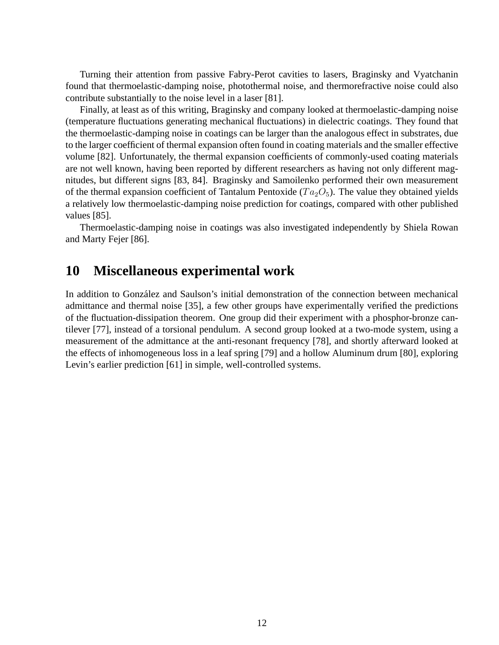Turning their attention from passive Fabry-Perot cavities to lasers, Braginsky and Vyatchanin found that thermoelastic-damping noise, photothermal noise, and thermorefractive noise could also contribute substantially to the noise level in a laser [81].

Finally, at least as of this writing, Braginsky and company looked at thermoelastic-damping noise (temperature fluctuations generating mechanical fluctuations) in dielectric coatings. They found that the thermoelastic-damping noise in coatings can be larger than the analogous effect in substrates, due to the larger coefficient of thermal expansion often found in coating materials and the smaller effective volume [82]. Unfortunately, the thermal expansion coefficients of commonly-used coating materials are not well known, having been reported by different researchers as having not only different magnitudes, but different signs [83, 84]. Braginsky and Samoilenko performed their own measurement of the thermal expansion coefficient of Tantalum Pentoxide ( $Ta_2O_5$ ). The value they obtained yields a relatively low thermoelastic-damping noise prediction for coatings, compared with other published values [85].

Thermoelastic-damping noise in coatings was also investigated independently by Shiela Rowan and Marty Fejer [86].

## **10 Miscellaneous experimental work**

In addition to González and Saulson's initial demonstration of the connection between mechanical admittance and thermal noise [35], a few other groups have experimentally verified the predictions of the fluctuation-dissipation theorem. One group did their experiment with a phosphor-bronze cantilever [77], instead of a torsional pendulum. A second group looked at a two-mode system, using a measurement of the admittance at the anti-resonant frequency [78], and shortly afterward looked at the effects of inhomogeneous loss in a leaf spring [79] and a hollow Aluminum drum [80], exploring Levin's earlier prediction [61] in simple, well-controlled systems.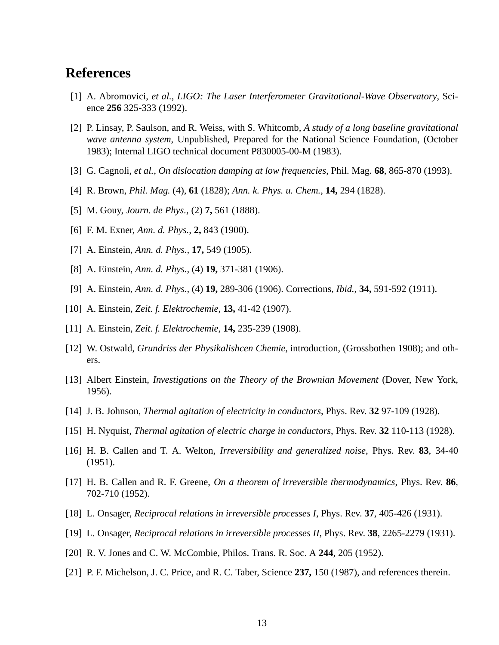## **References**

- [1] A. Abromovici, *et al.*, *LIGO: The Laser Interferometer Gravitational-Wave Observatory*, Science **256** 325-333 (1992).
- [2] P. Linsay, P. Saulson, and R. Weiss, with S. Whitcomb, *A study of a long baseline gravitational wave antenna system*, Unpublished, Prepared for the National Science Foundation, (October 1983); Internal LIGO technical document P830005-00-M (1983).
- [3] G. Cagnoli, *et al.*, *On dislocation damping at low frequencies*, Phil. Mag. **68**, 865-870 (1993).
- [4] R. Brown, *Phil. Mag.* (4), **61** (1828); *Ann. k. Phys. u. Chem.,* **14,** 294 (1828).
- [5] M. Gouy, *Journ. de Phys.,* (2) **7,** 561 (1888).
- [6] F. M. Exner, *Ann. d. Phys.,* **2,** 843 (1900).
- [7] A. Einstein, *Ann. d. Phys.,* **17,** 549 (1905).
- [8] A. Einstein, *Ann. d. Phys.,* (4) **19,** 371-381 (1906).
- [9] A. Einstein, *Ann. d. Phys.,* (4) **19,** 289-306 (1906). Corrections, *Ibid.,* **34,** 591-592 (1911).
- [10] A. Einstein, *Zeit. f. Elektrochemie,* **13,** 41-42 (1907).
- [11] A. Einstein, *Zeit. f. Elektrochemie,* **14,** 235-239 (1908).
- [12] W. Ostwald, *Grundriss der Physikalishcen Chemie,* introduction, (Grossbothen 1908); and others.
- [13] Albert Einstein, *Investigations on the Theory of the Brownian Movement* (Dover, New York, 1956).
- [14] J. B. Johnson, *Thermal agitation of electricity in conductors*, Phys. Rev. **32** 97-109 (1928).
- [15] H. Nyquist, *Thermal agitation of electric charge in conductors*, Phys. Rev. **32** 110-113 (1928).
- [16] H. B. Callen and T. A. Welton, *Irreversibility and generalized noise*, Phys. Rev. **83**, 34-40 (1951).
- [17] H. B. Callen and R. F. Greene, *On a theorem of irreversible thermodynamics*, Phys. Rev. **86**, 702-710 (1952).
- [18] L. Onsager, *Reciprocal relations in irreversible processes I*, Phys. Rev. **37**, 405-426 (1931).
- [19] L. Onsager, *Reciprocal relations in irreversible processes II*, Phys. Rev. **38**, 2265-2279 (1931).
- [20] R. V. Jones and C. W. McCombie, Philos. Trans. R. Soc. A **244**, 205 (1952).
- [21] P. F. Michelson, J. C. Price, and R. C. Taber, Science **237,** 150 (1987), and references therein.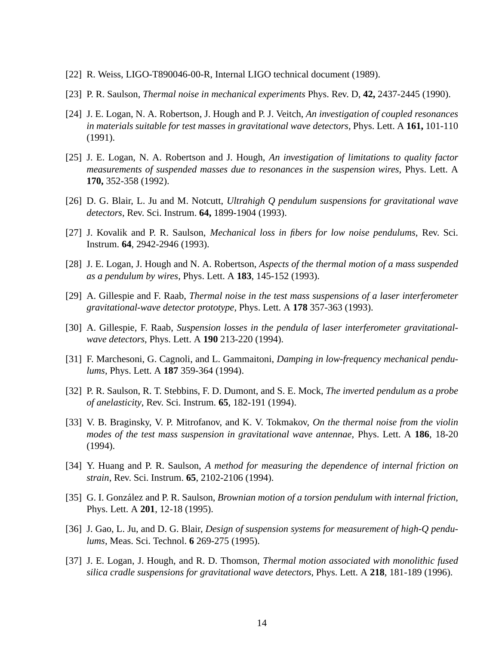- [22] R. Weiss, LIGO-T890046-00-R, Internal LIGO technical document (1989).
- [23] P. R. Saulson, *Thermal noise in mechanical experiments* Phys. Rev. D, **42,** 2437-2445 (1990).
- [24] J. E. Logan, N. A. Robertson, J. Hough and P. J. Veitch, *An investigation of coupled resonances in materials suitable for test masses in gravitational wave detectors,* Phys. Lett. A **161,** 101-110 (1991).
- [25] J. E. Logan, N. A. Robertson and J. Hough, *An investigation of limitations to quality factor measurements of suspended masses due to resonances in the suspension wires,* Phys. Lett. A **170,** 352-358 (1992).
- [26] D. G. Blair, L. Ju and M. Notcutt, *Ultrahigh Q pendulum suspensions for gravitational wave detectors*, Rev. Sci. Instrum. **64,** 1899-1904 (1993).
- [27] J. Kovalik and P. R. Saulson, *Mechanical loss in fibers for low noise pendulums*, Rev. Sci. Instrum. **64**, 2942-2946 (1993).
- [28] J. E. Logan, J. Hough and N. A. Robertson, *Aspects of the thermal motion of a mass suspended as a pendulum by wires*, Phys. Lett. A **183**, 145-152 (1993).
- [29] A. Gillespie and F. Raab, *Thermal noise in the test mass suspensions of a laser interferometer gravitational-wave detector prototype*, Phys. Lett. A **178** 357-363 (1993).
- [30] A. Gillespie, F. Raab, *Suspension losses in the pendula of laser interferometer gravitationalwave detectors*, Phys. Lett. A **190** 213-220 (1994).
- [31] F. Marchesoni, G. Cagnoli, and L. Gammaitoni, *Damping in low-frequency mechanical pendulums*, Phys. Lett. A **187** 359-364 (1994).
- [32] P. R. Saulson, R. T. Stebbins, F. D. Dumont, and S. E. Mock, *The inverted pendulum as a probe of anelasticity*, Rev. Sci. Instrum. **65**, 182-191 (1994).
- [33] V. B. Braginsky, V. P. Mitrofanov, and K. V. Tokmakov, *On the thermal noise from the violin modes of the test mass suspension in gravitational wave antennae*, Phys. Lett. A **186**, 18-20 (1994).
- [34] Y. Huang and P. R. Saulson, *A method for measuring the dependence of internal friction on strain*, Rev. Sci. Instrum. **65**, 2102-2106 (1994).
- [35] G. I. González and P. R. Saulson, *Brownian motion of a torsion pendulum with internal friction*, Phys. Lett. A **201**, 12-18 (1995).
- [36] J. Gao, L. Ju, and D. G. Blair, *Design of suspension systems for measurement of high-Q pendulums*, Meas. Sci. Technol. **6** 269-275 (1995).
- [37] J. E. Logan, J. Hough, and R. D. Thomson, *Thermal motion associated with monolithic fused silica cradle suspensions for gravitational wave detectors*, Phys. Lett. A **218**, 181-189 (1996).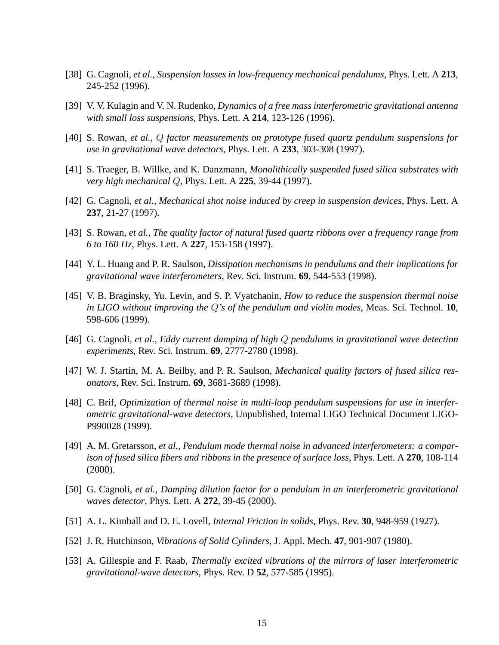- [38] G. Cagnoli, *et al.*, *Suspension losses in low-frequency mechanical pendulums*, Phys. Lett. A **213**, 245-252 (1996).
- [39] V. V. Kulagin and V. N. Rudenko, *Dynamics of a free mass interferometric gravitational antenna with small loss suspensions*, Phys. Lett. A **214**, 123-126 (1996).
- [40] S. Rowan, *et al.*, Q *factor measurements on prototype fused quartz pendulum suspensions for use in gravitational wave detectors*, Phys. Lett. A **233**, 303-308 (1997).
- [41] S. Traeger, B. Willke, and K. Danzmann, *Monolithically suspended fused silica substrates with very high mechanical* Q, Phys. Lett. A **225**, 39-44 (1997).
- [42] G. Cagnoli, *et al.*, *Mechanical shot noise induced by creep in suspension devices*, Phys. Lett. A **237**, 21-27 (1997).
- [43] S. Rowan, *et al.*, *The quality factor of natural fused quartz ribbons over a frequency range from 6 to 160 Hz*, Phys. Lett. A **227**, 153-158 (1997).
- [44] Y. L. Huang and P. R. Saulson, *Dissipation mechanisms in pendulums and their implications for gravitational wave interferometers*, Rev. Sci. Instrum. **69**, 544-553 (1998).
- [45] V. B. Braginsky, Yu. Levin, and S. P. Vyatchanin, *How to reduce the suspension thermal noise in LIGO without improving the* Q*'s of the pendulum and violin modes*, Meas. Sci. Technol. **10**, 598-606 (1999).
- [46] G. Cagnoli, *et al.*, *Eddy current damping of high* Q *pendulums in gravitational wave detection experiments*, Rev. Sci. Instrum. **69**, 2777-2780 (1998).
- [47] W. J. Startin, M. A. Beilby, and P. R. Saulson, *Mechanical quality factors of fused silica resonators*, Rev. Sci. Instrum. **69**, 3681-3689 (1998).
- [48] C. Brif, *Optimization of thermal noise in multi-loop pendulum suspensions for use in interferometric gravitational-wave detectors*, Unpublished, Internal LIGO Technical Document LIGO-P990028 (1999).
- [49] A. M. Gretarsson, *et al.*, *Pendulum mode thermal noise in advanced interferometers: a comparison of fused silica fibers and ribbons in the presence of surface loss*, Phys. Lett. A **270**, 108-114 (2000).
- [50] G. Cagnoli, *et al.*, *Damping dilution factor for a pendulum in an interferometric gravitational waves detector*, Phys. Lett. A **272**, 39-45 (2000).
- [51] A. L. Kimball and D. E. Lovell, *Internal Friction in solids*, Phys. Rev. **30**, 948-959 (1927).
- [52] J. R. Hutchinson, *Vibrations of Solid Cylinders*, J. Appl. Mech. **47**, 901-907 (1980).
- [53] A. Gillespie and F. Raab, *Thermally excited vibrations of the mirrors of laser interferometric gravitational-wave detectors*, Phys. Rev. D **52**, 577-585 (1995).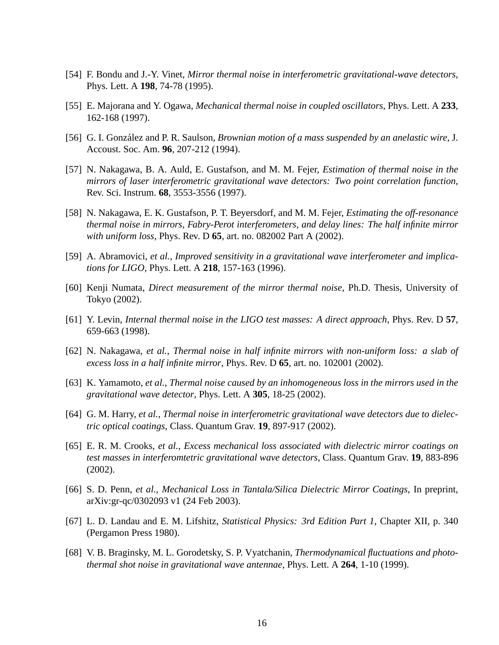- [54] F. Bondu and J.-Y. Vinet, *Mirror thermal noise in interferometric gravitational-wave detectors*, Phys. Lett. A **198**, 74-78 (1995).
- [55] E. Majorana and Y. Ogawa, *Mechanical thermal noise in coupled oscillators*, Phys. Lett. A **233**, 162-168 (1997).
- [56] G. I. González and P. R. Saulson, *Brownian motion of a mass suspended by an anelastic wire*, J. Accoust. Soc. Am. **96**, 207-212 (1994).
- [57] N. Nakagawa, B. A. Auld, E. Gustafson, and M. M. Fejer, *Estimation of thermal noise in the mirrors of laser interferometric gravitational wave detectors: Two point correlation function*, Rev. Sci. Instrum. **68**, 3553-3556 (1997).
- [58] N. Nakagawa, E. K. Gustafson, P. T. Beyersdorf, and M. M. Fejer, *Estimating the off-resonance thermal noise in mirrors, Fabry-Perot interferometers, and delay lines: The half infinite mirror with uniform loss*, Phys. Rev. D **65**, art. no. 082002 Part A (2002).
- [59] A. Abramovici, *et al.*, *Improved sensitivity in a gravitational wave interferometer and implications for LIGO*, Phys. Lett. A **218**, 157-163 (1996).
- [60] Kenji Numata, *Direct measurement of the mirror thermal noise*, Ph.D. Thesis, University of Tokyo (2002).
- [61] Y. Levin, *Internal thermal noise in the LIGO test masses: A direct approach*, Phys. Rev. D **57**, 659-663 (1998).
- [62] N. Nakagawa, *et al.*, *Thermal noise in half infinite mirrors with non-uniform loss: a slab of excess loss in a half infinite mirror*, Phys. Rev. D **65**, art. no. 102001 (2002).
- [63] K. Yamamoto, *et al.*, *Thermal noise caused by an inhomogeneous loss in the mirrors used in the gravitational wave detector*, Phys. Lett. A **305**, 18-25 (2002).
- [64] G. M. Harry, *et al.*, *Thermal noise in interferometric gravitational wave detectors due to dielectric optical coatings*, Class. Quantum Grav. **19**, 897-917 (2002).
- [65] E. R. M. Crooks, *et al.*, *Excess mechanical loss associated with dielectric mirror coatings on test masses in interferomtetric gravitational wave detectors*, Class. Quantum Grav. **19**, 883-896 (2002).
- [66] S. D. Penn, *et al.*, *Mechanical Loss in Tantala/Silica Dielectric Mirror Coatings*, In preprint, arXiv:gr-qc/0302093 v1 (24 Feb 2003).
- [67] L. D. Landau and E. M. Lifshitz, *Statistical Physics: 3rd Edition Part 1*, Chapter XII, p. 340 (Pergamon Press 1980).
- [68] V. B. Braginsky, M. L. Gorodetsky, S. P. Vyatchanin, *Thermodynamical fluctuations and photothermal shot noise in gravitational wave antennae*, Phys. Lett. A **264**, 1-10 (1999).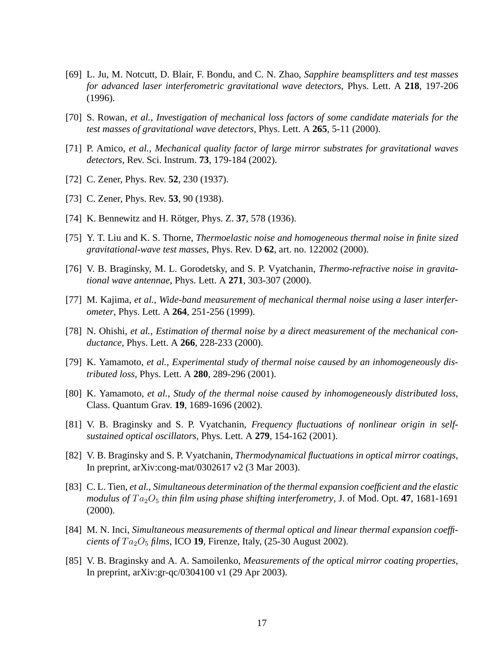- [69] L. Ju, M. Notcutt, D. Blair, F. Bondu, and C. N. Zhao, *Sapphire beamsplitters and test masses for advanced laser interferometric gravitational wave detectors*, Phys. Lett. A **218**, 197-206 (1996).
- [70] S. Rowan, *et al.*, *Investigation of mechanical loss factors of some candidate materials for the test masses of gravitational wave detectors*, Phys. Lett. A **265**, 5-11 (2000).
- [71] P. Amico, *et al.*, *Mechanical quality factor of large mirror substrates for gravitational waves detectors*, Rev. Sci. Instrum. **73**, 179-184 (2002).
- [72] C. Zener, Phys. Rev. **52**, 230 (1937).
- [73] C. Zener, Phys. Rev. **53**, 90 (1938).
- [74] K. Bennewitz and H. Rötger, Phys. Z. 37, 578 (1936).
- [75] Y. T. Liu and K. S. Thorne, *Thermoelastic noise and homogeneous thermal noise in finite sized gravitational-wave test masses*, Phys. Rev. D **62**, art. no. 122002 (2000).
- [76] V. B. Braginsky, M. L. Gorodetsky, and S. P. Vyatchanin, *Thermo-refractive noise in gravitational wave antennae*, Phys. Lett. A **271**, 303-307 (2000).
- [77] M. Kajima, *et al.*, *Wide-band measurement of mechanical thermal noise using a laser interferometer*, Phys. Lett. A **264**, 251-256 (1999).
- [78] N. Ohishi, *et al.*, *Estimation of thermal noise by a direct measurement of the mechanical conductance*, Phys. Lett. A **266**, 228-233 (2000).
- [79] K. Yamamoto, *et al.*, *Experimental study of thermal noise caused by an inhomogeneously distributed loss*, Phys. Lett. A **280**, 289-296 (2001).
- [80] K. Yamamoto, *et al.*, *Study of the thermal noise caused by inhomogeneously distributed loss*, Class. Quantum Grav. **19**, 1689-1696 (2002).
- [81] V. B. Braginsky and S. P. Vyatchanin, *Frequency fluctuations of nonlinear origin in selfsustained optical oscillators*, Phys. Lett. A **279**, 154-162 (2001).
- [82] V. B. Braginsky and S. P. Vyatchanin, *Thermodynamical fluctuations in optical mirror coatings*, In preprint, arXiv:cong-mat/0302617 v2 (3 Mar 2003).
- [83] C. L. Tien, *et al.*, *Simultaneous determination of the thermal expansion coefficient and the elastic modulus of*  $Ta_2O_5$  *thin film using phase shifting interferometry*, J. of Mod. Opt. **47**, 1681-1691 (2000).
- [84] M. N. Inci, *Simultaneous measurements of thermal optical and linear thermal expansion coefficients of*  $Ta_2O_5$  *films*, ICO 19, Firenze, Italy, (25-30 August 2002).
- [85] V. B. Braginsky and A. A. Samoilenko, *Measurements of the optical mirror coating properties*, In preprint, arXiv:gr-qc/0304100 v1 (29 Apr 2003).